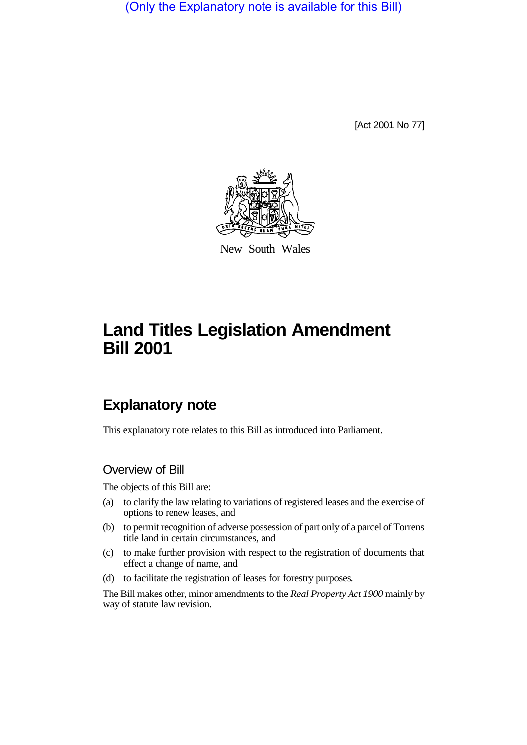(Only the Explanatory note is available for this Bill)

[Act 2001 No 77]



New South Wales

# **Land Titles Legislation Amendment Bill 2001**

# **Explanatory note**

This explanatory note relates to this Bill as introduced into Parliament.

## Overview of Bill

The objects of this Bill are:

- (a) to clarify the law relating to variations of registered leases and the exercise of options to renew leases, and
- (b) to permit recognition of adverse possession of part only of a parcel of Torrens title land in certain circumstances, and
- (c) to make further provision with respect to the registration of documents that effect a change of name, and
- (d) to facilitate the registration of leases for forestry purposes.

The Bill makes other, minor amendments to the *Real Property Act 1900* mainly by way of statute law revision.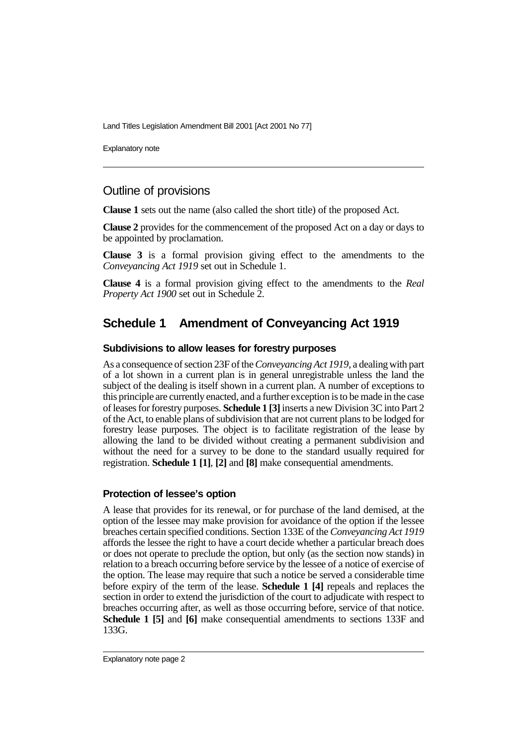Explanatory note

### Outline of provisions

**Clause 1** sets out the name (also called the short title) of the proposed Act.

**Clause 2** provides for the commencement of the proposed Act on a day or days to be appointed by proclamation.

**Clause 3** is a formal provision giving effect to the amendments to the *Conveyancing Act 1919* set out in Schedule 1.

**Clause 4** is a formal provision giving effect to the amendments to the *Real Property Act 1900* set out in Schedule 2.

# **Schedule 1 Amendment of Conveyancing Act 1919**

#### **Subdivisions to allow leases for forestry purposes**

As a consequence of section 23F of the *Conveyancing Act 1919*, a dealing with part of a lot shown in a current plan is in general unregistrable unless the land the subject of the dealing is itself shown in a current plan. A number of exceptions to this principle are currently enacted, and a further exception is to be made in the case of leases for forestry purposes. **Schedule 1 [3]** inserts a new Division 3C into Part 2 of the Act, to enable plans of subdivision that are not current plans to be lodged for forestry lease purposes. The object is to facilitate registration of the lease by allowing the land to be divided without creating a permanent subdivision and without the need for a survey to be done to the standard usually required for registration. **Schedule 1 [1]**, **[2]** and **[8]** make consequential amendments.

#### **Protection of lessee's option**

A lease that provides for its renewal, or for purchase of the land demised, at the option of the lessee may make provision for avoidance of the option if the lessee breaches certain specified conditions. Section 133E of the *Conveyancing Act 1919* affords the lessee the right to have a court decide whether a particular breach does or does not operate to preclude the option, but only (as the section now stands) in relation to a breach occurring before service by the lessee of a notice of exercise of the option. The lease may require that such a notice be served a considerable time before expiry of the term of the lease. **Schedule 1 [4]** repeals and replaces the section in order to extend the jurisdiction of the court to adjudicate with respect to breaches occurring after, as well as those occurring before, service of that notice. **Schedule 1 [5]** and **[6]** make consequential amendments to sections 133F and 133G.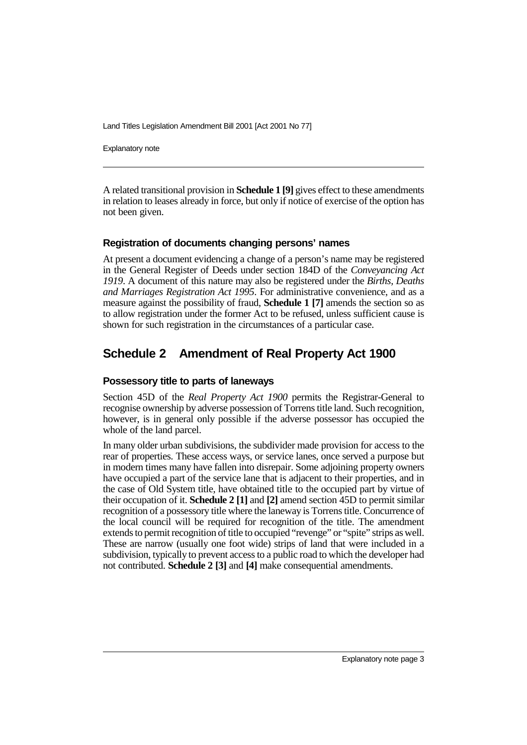Explanatory note

A related transitional provision in **Schedule 1 [9]** gives effect to these amendments in relation to leases already in force, but only if notice of exercise of the option has not been given.

#### **Registration of documents changing persons' names**

At present a document evidencing a change of a person's name may be registered in the General Register of Deeds under section 184D of the *Conveyancing Act 1919*. A document of this nature may also be registered under the *Births, Deaths and Marriages Registration Act 1995*. For administrative convenience, and as a measure against the possibility of fraud, **Schedule 1 [7]** amends the section so as to allow registration under the former Act to be refused, unless sufficient cause is shown for such registration in the circumstances of a particular case.

### **Schedule 2 Amendment of Real Property Act 1900**

#### **Possessory title to parts of laneways**

Section 45D of the *Real Property Act 1900* permits the Registrar-General to recognise ownership by adverse possession of Torrens title land. Such recognition, however, is in general only possible if the adverse possessor has occupied the whole of the land parcel.

In many older urban subdivisions, the subdivider made provision for access to the rear of properties. These access ways, or service lanes, once served a purpose but in modern times many have fallen into disrepair. Some adjoining property owners have occupied a part of the service lane that is adjacent to their properties, and in the case of Old System title, have obtained title to the occupied part by virtue of their occupation of it. **Schedule 2 [1]** and **[2]** amend section 45D to permit similar recognition of a possessory title where the laneway is Torrens title. Concurrence of the local council will be required for recognition of the title. The amendment extends to permit recognition of title to occupied "revenge" or "spite" strips as well. These are narrow (usually one foot wide) strips of land that were included in a subdivision, typically to prevent access to a public road to which the developer had not contributed. **Schedule 2 [3]** and **[4]** make consequential amendments.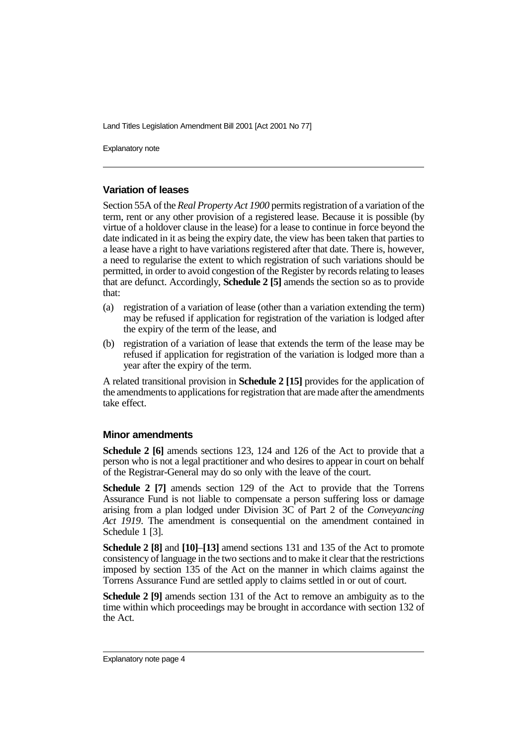Explanatory note

#### **Variation of leases**

Section 55A of the *Real Property Act 1900* permits registration of a variation of the term, rent or any other provision of a registered lease. Because it is possible (by virtue of a holdover clause in the lease) for a lease to continue in force beyond the date indicated in it as being the expiry date, the view has been taken that parties to a lease have a right to have variations registered after that date. There is, however, a need to regularise the extent to which registration of such variations should be permitted, in order to avoid congestion of the Register by records relating to leases that are defunct. Accordingly, **Schedule 2 [5]** amends the section so as to provide that:

- (a) registration of a variation of lease (other than a variation extending the term) may be refused if application for registration of the variation is lodged after the expiry of the term of the lease, and
- (b) registration of a variation of lease that extends the term of the lease may be refused if application for registration of the variation is lodged more than a year after the expiry of the term.

A related transitional provision in **Schedule 2 [15]** provides for the application of the amendments to applications for registration that are made after the amendments take effect.

#### **Minor amendments**

**Schedule 2 [6]** amends sections 123, 124 and 126 of the Act to provide that a person who is not a legal practitioner and who desires to appear in court on behalf of the Registrar-General may do so only with the leave of the court.

**Schedule 2 [7]** amends section 129 of the Act to provide that the Torrens Assurance Fund is not liable to compensate a person suffering loss or damage arising from a plan lodged under Division 3C of Part 2 of the *Conveyancing Act 1919*. The amendment is consequential on the amendment contained in Schedule 1<sup>[3]</sup>.

**Schedule 2 [8]** and **[10]**–**[13]** amend sections 131 and 135 of the Act to promote consistency of language in the two sections and to make it clear that the restrictions imposed by section 135 of the Act on the manner in which claims against the Torrens Assurance Fund are settled apply to claims settled in or out of court.

**Schedule 2 [9]** amends section 131 of the Act to remove an ambiguity as to the time within which proceedings may be brought in accordance with section 132 of the Act.